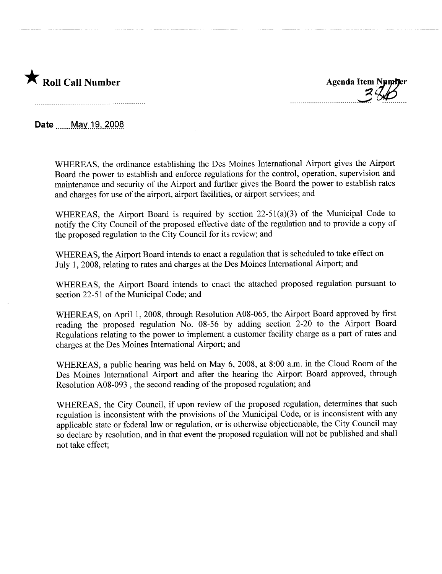

 $3.66$ 

Date May 19, 2008

WHEREAS, the ordinance establishing the Des Moines International Airport gives the Airport Board the power to establish and enforce regulations for the control, operation, supervision and maintenance and security of the Airport and further gives the Board the power to establish rates and charges for use of the airport, airport facilities, or airport services; and

WHEREAS, the Airport Board is required by section 22-51(a)(3) of the Municipal Code to notify the City Council of the proposed effective date of the regulation and to provide a copy of the proposed regulation to the City Council for its review; and

WHEREAS, the Airport Board intends to enact a regulation that is scheduled to take effect on July 1, 2008, relating to rates and charges at the Des Moines International Airport; and

WHEREAS, the Airport Board intends to enact the attached proposed regulation pursuant to section 22-51 of the Municipal Code; and

WHEREAS, on April 1, 2008, through Resolution A08-065, the Airport Board approved by first reading the proposed regulation No. 08-56 by adding section 2-20 to the Airport Board Regulations relating to the power to implement a customer facility charge as a part of rates and charges at the Des Moines International Airport; and

WHEREAS, a public hearing was held on May 6, 2008, at 8:00 a.m. in the Cloud Room of the Des Moines International Airport and after the hearing the Airport Board approved, through Resolution A08-093 , the second reading of the proposed regulation; and

WHEREAS, the City Council, if upon review of the proposed regulation, determines that such regulation is inconsistent with the provisions of the Municipal Code, or is inconsistent with any applicable state or federal law or regulation, or is otherwise objectionable, the City Council may so declare by resolution, and in that event the proposed regulation will not be published and shall not take effect;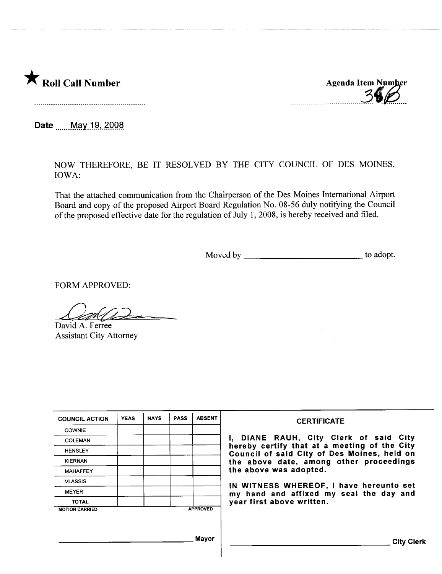

Agenda Item Number

Date ....... May 19, 2008.

NOW THEREFORE, BE IT RESOLVED BY THE CITY COUNCIL OF DES MOINES, IOWA:

That the attached communication from the Chairperson of the Des Moines International Airport Board and copy of the proposed Airport Board Regulation No. 08-56 duly notifying the Council of the proposed effective date for the regulation of July 1, 2008, is hereby received and filed.

Moved by to adopt.

FORM APPROVED:

David A. Ferree

Assistant City Attorney

| <b>COUNCIL ACTION</b> | <b>YEAS</b> | <b>NAYS</b> | <b>PASS</b> | <b>ABSENT</b>   | <b>CERTIFICATE</b>                                                                          |
|-----------------------|-------------|-------------|-------------|-----------------|---------------------------------------------------------------------------------------------|
| <b>COWNIE</b>         |             |             |             |                 |                                                                                             |
| <b>COLEMAN</b>        |             |             |             |                 | I, DIANE RAUH, City Clerk of said City                                                      |
| <b>HENSLEY</b>        |             |             |             |                 | hereby certify that at a meeting of the City<br>Council of said City of Des Moines, held on |
| <b>KIERNAN</b>        |             |             |             |                 | the above date, among other proceedings                                                     |
| <b>MAHAFFEY</b>       |             |             |             |                 | the above was adopted.                                                                      |
| <b>VLASSIS</b>        |             |             |             |                 |                                                                                             |
| <b>MEYER</b>          |             |             |             |                 | IN WITNESS WHEREOF, I have hereunto set<br>my hand and affixed my seal the day and          |
| <b>TOTAL</b>          |             |             |             |                 | year first above written.                                                                   |
| <b>MOTION CARRIED</b> |             |             |             | <b>APPROVED</b> |                                                                                             |
|                       |             |             |             |                 |                                                                                             |
|                       |             |             |             |                 |                                                                                             |
|                       |             |             |             | Mayor           | <b>City Clerk</b>                                                                           |
|                       |             |             |             |                 |                                                                                             |
|                       |             |             |             |                 |                                                                                             |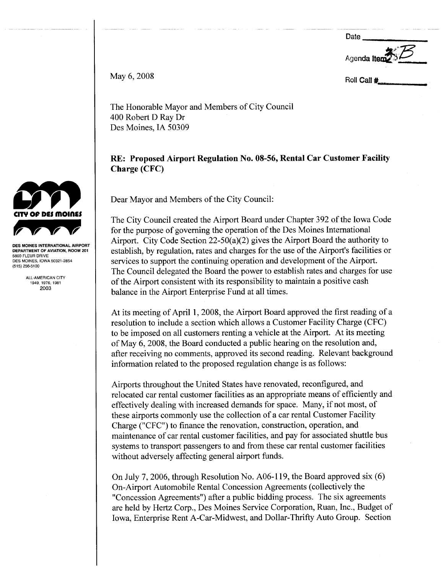Date

Agenda Ite

May 6, 2008

Roll Call #

The Honorable Mayor and Members of City Council 400 Robert D Ray Dr Des Moines, IA 50309

### RE: Proposed Airport Regulation No. 08-56, Rental Car Customer Facilty Charge (CFC)

Dear Mayor and Members of the City Council:

The City Council created the Airport Board under Chapter 392 of the Iowa Code for the purpose of governing the operation of the Des Moines International Airport. City Code Section 22-50(a)(2) gives the Airport Board the authority to establish, by regulation, rates and charges for the use of the Airport's facilities or services to support the continuing operation and development of the Airport. The Council delegated the Board the power to establish rates and charges for use of the Airport consistent with its responsibility to maintain a positive cash balance in the Airport Enterprise Fund at all times.

At its meeting of April 1, 2008, the Airport Board approved the first reading of a resolution to include a section which allows a Customer Facility Charge (CFC) to be imposed on all customers renting a vehicle at the Airport. At its meeting of May 6, 2008, the Board conducted a public hearng on the resolution and, after receiving no comments, approved its second reading. Relevant background information related to the proposed regulation change is as follows:

Airports throughout the United States have renovated, reconfigured, and relocated car rental customer facilities as an appropriate means of efficiently and effectively dealing with increased demands for space. Many, if not most, of these airports commonly use the collection of a car rental Customer Facility Charge ("CFC") to finance the renovation, construction, operation, and maintenance of car rental customer facilities, and pay for associated shuttle bus systems to transport passengers to and from these car rental customer facilities without adversely affecting general airport funds.

On July 7, 2006, through Resolution No. A06-l 19, the Board approved six (6) On-Airport Automobile Rental Concession Agreements (collectively the "Concession Agreements") after a public bidding process. The six agreements are held by Hertz Corp., Des Moines Service Corporation, Ruan, Inc., Budget of Iowa, Enterprise Rent A-Car-Midwest, and Dollar-Thrift Auto Group. Section



DES MOINES INTERNATIONAL AIRPORT DEPARTMENT OF AVIATION, ROOM 201 5800 FLEUR DRIVE DES MOINES, IOWA 50321-2854 (515) 256-5100

> ALL-AMERICAN CITY 1949, 1976, 1981 2003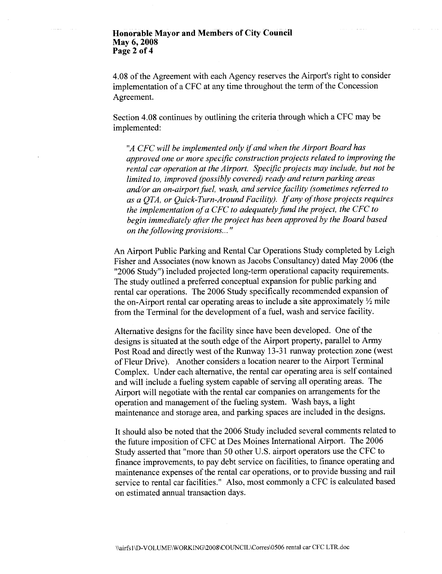#### Honorable Mayor and Members of City Council May 6, 2008 Page 2 of 4

4.08 ofthe Agreement with each Agency reserves the Airport's right to consider implementation of a CFC at any time throughout the term of the Concession Agreement.

Section 4.08 continues by outlining the criteria through which a CFC may be implemented:

"A CFC will be implemented only if and when the Airport Board has approved one or more specifc construction projects related to improving the rental car operation at the Airport. Specific projects may include, but not be limited to, improved (possibly covered) ready and return parking areas and/or an on-airport fuel, wash, and service facilty (sometimes referred to as a QTA, or Quick-Turn-Around Facilty). If any of those projects requires the implementation of a CFC to adequately fund the project, the CFC to begin immediately after the project has been approved by the Board based on the following provisions... "

An Airport Public Parking and Rental Car Operations Study completed by Leigh Fisher and Associates (now known as Jacobs Consultancy) dated May 2006 (the "2006 Study") included projected long-term operational capacity requirements. The study outlined a preferred conceptual expansion for public parking and rental car operations. The 2006 Study specifically recommended expansion of the on-Airport rental car operating areas to include a site approximately  $\frac{1}{2}$  mile from the Terminal for the development of a fuel, wash and service facility.

Alternative designs for the facility since have been developed. One of the designs is situated at the south edge of the Airport property, parallel to Army Post Road and directly west of the Runway 13-31 runway protection zone (west of Fleur Drive). Another considers a location nearer to the Airport Terminal Complex. Under each alternative, the rental car operating area is self contained and will include a fueling system capable of serving all operating areas. The Airport will negotiate with the rental car companies on arrangements for the operation and management of the fueling system. Wash bays, a light maintenance and storage area, and parking spaces are included in the designs.

It should also be noted that the 2006 Study included several comments related to the future imposition of CFC at Des Moines International Airport. The 2006 Study asserted that "more than 50 other U.S. airport operators use the CFC to finance improvements, to pay debt service on facilities, to finance operating and maintenance expenses of the rental car operations, or to provide bussing and rail service to rental car facilities." Also, most commonly a CFC is calculated based on estimated annual transaction days.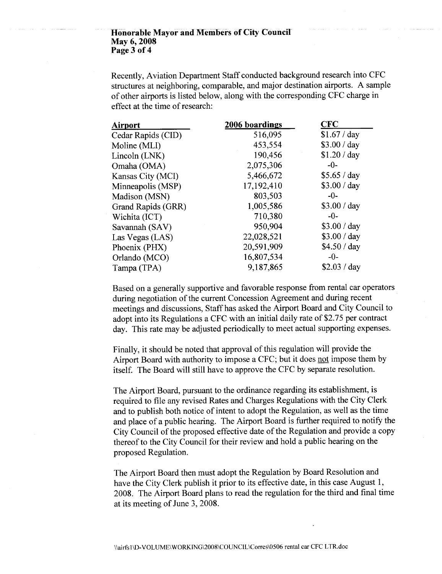#### Honorable Mayor and Members of City Council May 6, 2008 Page 3 of 4

Recently, Aviation Department Staff conducted background research into CFC structures at neighboring, comparable, and major destination airports. A sample of other airports is listed below, along with the corresponding CFC charge in effect at the time of research:

| <b>Airport</b>     | 2006 boardings | <b>CFC</b>   |
|--------------------|----------------|--------------|
| Cedar Rapids (CID) | 516,095        | \$1.67 / day |
| Moline (MLI)       | 453,554        | \$3.00 / day |
| Lincoln (LNK)      | 190,456        | \$1.20 / day |
| Omaha (OMA)        | 2,075,306      | $-0-$        |
| Kansas City (MCI)  | 5,466,672      | \$5.65 / day |
| Minneapolis (MSP)  | 17,192,410     | \$3.00 / day |
| Madison (MSN)      | 803,503        | $-0-$        |
| Grand Rapids (GRR) | 1,005,586      | \$3.00 / day |
| Wichita (ICT)      | 710,380        | $-0-$        |
| Savannah (SAV)     | 950,904        | \$3.00 / day |
| Las Vegas (LAS)    | 22,028,521     | \$3.00 / day |
| Phoenix (PHX)      | 20,591,909     | \$4.50 / day |
| Orlando (MCO)      | 16,807,534     | $-0-$        |
| Tampa (TPA)        | 9,187,865      | \$2.03 / day |

Based on a generally supportive and favorable response from rental car operators during negotiation of the current Concession Agreement and during recent meetings and discussions, Staffhas asked the Airport Board and City Council to adopt into its Regulations a CFC with an initial daily rate of\$2.75 per contract day. This rate may be adjusted periodically to meet actual supporting expenses.

Finally, it should be noted that approval of this regulation will provide the Airport Board with authority to impose a CFC; but it does not impose them by itself. The Board will still have to approve the CFC by separate resolution.

The Airport Board, pursuant to the ordinance regarding its establishment, is required to file any revised Rates and Charges Regulations with the City Clerk and to publish both notice of intent to adopt the Regulation, as well as the time and place of a public hearing. The Airport Board is further required to notify the City Council of the proposed effective date of the Regulation and provide a copy thereof to the City Council for their review and hold a public hearing on the proposed Regulation.

The Airport Board then must adopt the Regulation by Board Resolution and have the City Clerk publish it prior to its effective date, in this case August 1, 2008. The Airport Board plans to read the regulation for the third and final time at its meeting of June 3, 2008.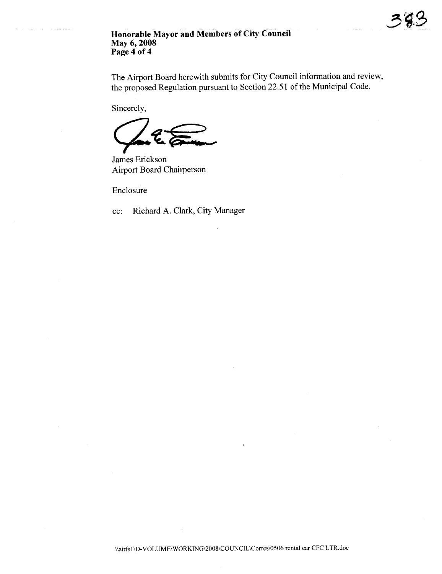#### Honorable Mayor and Members of City Council May 6, 2008 Page 4 of 4

The Airport Board herewith submits for City Council information and review, the proposed Regulation pursuant to Section 22.51 of the Municipal Code.

 $\mathcal{S}$ 

Sincerely,

James Erickson Airport Board Chairperson

Enclosure

cc: Richard A. Clark, City Manager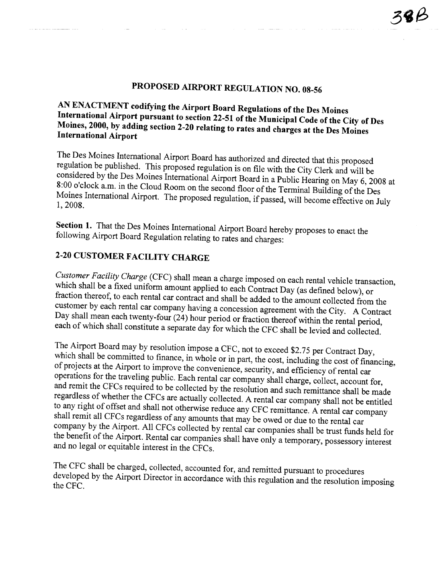# PROPOSED AIRPORT REGULATION NO. 08-56

## AN ENACTMENT codifying the Airport Board Regulations of the Des Moines International Airport pursuant to section 22-51 of the Municipal Code of the City of Des Moines, 2000, by adding section 2-20 relating to rates and charges at the Des Moines International Airport

The Des Moines International Airport Board has authorized and directed that this proposed regulation be published. This proposed regulation is on file with the City Clerk and wil be considered by the Des Moines International Airport Board in a Public Hearing on May 6, 2008 at 8:00 o'clock a.m. in the Cloud Room on the second floor of the Terminal Building of the Des Moines International Airport. The proposed regulation, if passed, will become effective on July 1,2008.

Section 1. That the Des Moines International Airport Board hereby proposes to enact the following Airport Board Regulation relating to rates and charges:

## 2-20 CUSTOMER FACILITY CHARGE

Customer Facility Charge (CFC) shall mean a charge imposed on each rental vehicle transaction, which shall be a fixed uniform amount applied to each Contract Day (as defined below), or fraction thereof, to each rental car contract and shall be added to the amount collected from the customer by each rental car company having a concession agreement with the City. A Contract Day shall mean each twenty-four (24) hour period or fraction thereof within the rental period, each of which shall constitute a separate day for which the CFC shall be levied and collected.

The Airport Board may by resolution impose a CFC, not to exceed \$2.75 per Contract Day, which shall be committed to finance, in whole or in part, the cost, including the cost of financing, of projects at the Airport to improve the convenience, security, and efficiency of rental car operations for the traveling public. Each rental car company shall charge, collect, account for, and remit the CFCs required to be collected by the resolution and such remittance shall be made regardless of whether the CFCs are actually collected. A rental car company shall not be entitled to any right of offset and shall not otherwise reduce any CFC remittance. A rental car company shall remit all CFCs regardless of any amounts that may be owed or due to the rental car company by the Airport. All CFCs collected by rental car companies shall be trust fuds held for the benefit of the Airport. Rental car companies shall have only a temporary, possessory interest and no legal or equitable interest in the CFCs.

The CFC shall be charged, collected, accounted for, and remitted pursuant to procedures developed by the Airport Director in accordance with this regulation and the resolution imposing the CFC.